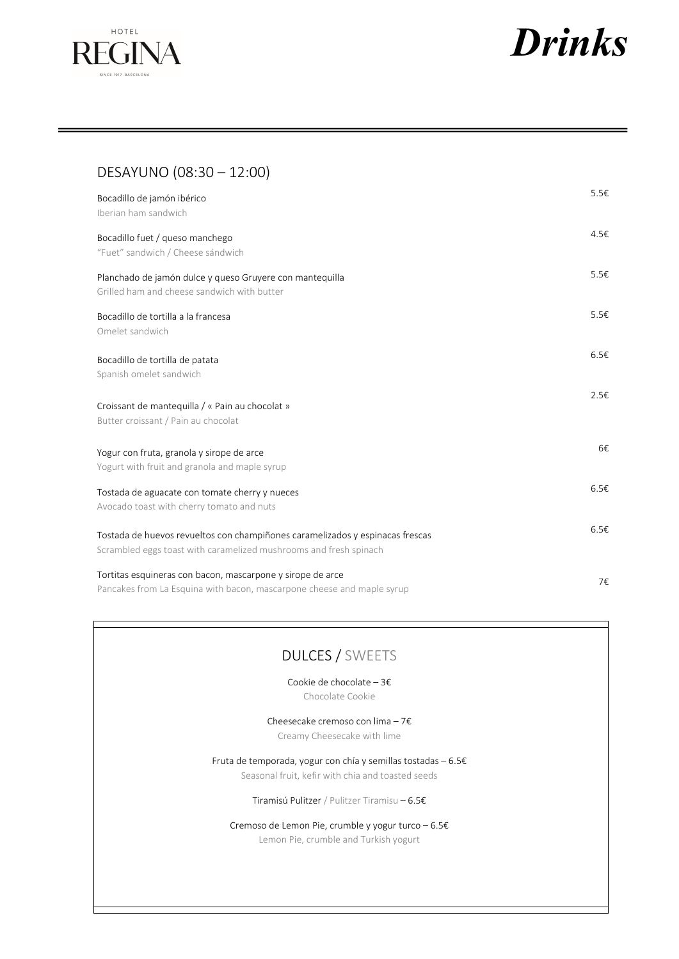



# DESAYUNO (08:30 – 12:00)

| Bocadillo de jamón ibérico<br>Iberian ham sandwich                                                                                                 | $5.5\varepsilon$ |
|----------------------------------------------------------------------------------------------------------------------------------------------------|------------------|
| Bocadillo fuet / queso manchego<br>"Fuet" sandwich / Cheese sándwich                                                                               | 4.5€             |
| Planchado de jamón dulce y queso Gruyere con mantequilla<br>Grilled ham and cheese sandwich with butter                                            | 5.5€             |
| Bocadillo de tortilla a la francesa<br>Omelet sandwich                                                                                             | 5.5€             |
| Bocadillo de tortilla de patata<br>Spanish omelet sandwich                                                                                         | 6.5E             |
| Croissant de mantequilla / « Pain au chocolat »<br>Butter croissant / Pain au chocolat                                                             | 2.5€             |
| Yogur con fruta, granola y sirope de arce<br>Yogurt with fruit and granola and maple syrup                                                         | 6€               |
| Tostada de aguacate con tomate cherry y nueces<br>Avocado toast with cherry tomato and nuts                                                        | 6.5E             |
| Tostada de huevos revueltos con champiñones caramelizados y espinacas frescas<br>Scrambled eggs toast with caramelized mushrooms and fresh spinach | 6.5E             |
| Tortitas esquineras con bacon, mascarpone y sirope de arce<br>Pancakes from La Esquina with bacon, mascarpone cheese and maple syrup               | 7€               |

# DULCES / SWEETS

Cookie de chocolate – 3€

Chocolate Cookie

Cheesecake cremoso con lima – 7€ Creamy Cheesecake with lime

Fruta de temporada, yogur con chía y semillas tostadas – 6.5€ Seasonal fruit, kefir with chia and toasted seeds

Tiramisú Pulitzer / Pulitzer Tiramisu – 6.5€

Cremoso de Lemon Pie, crumble y yogur turco – 6.5€ Lemon Pie, crumble and Turkish yogurt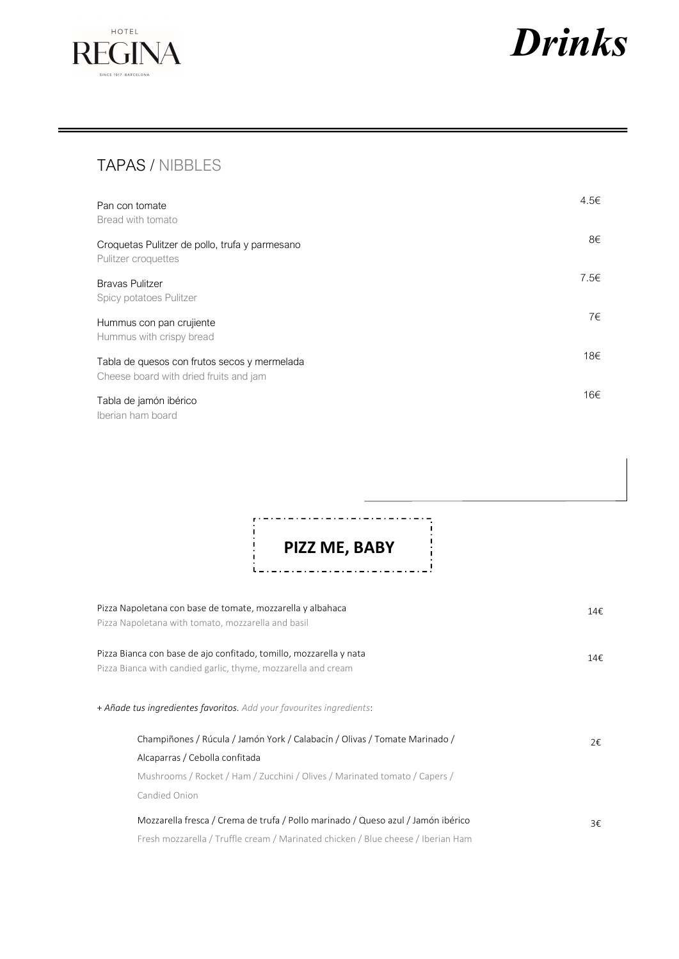



# TAPAS / NIBBLES

| Pan con tomate<br>Bread with tomato                                                    | 4.5€ |
|----------------------------------------------------------------------------------------|------|
| Croquetas Pulitzer de pollo, trufa y parmesano<br>Pulitzer croquettes                  | 8€   |
| <b>Bravas Pulitzer</b><br>Spicy potatoes Pulitzer                                      | 7.5E |
| Hummus con pan crujiente<br>Hummus with crispy bread                                   | 7€   |
| Tabla de quesos con frutos secos y mermelada<br>Cheese board with dried fruits and jam | 18€  |
| Tabla de jamón ibérico<br>Iberian ham board                                            | 16€  |

PIZZ ME, BABY \_ . \_ . \_ . \_ . \_ . \_ . \_ . \_ . \_ !  $\tilde{L} = L$  $\ddot{\phantom{1}}$ 

- - - - - - - - - - - - -

i.

| Pizza Napoletana con base de tomate, mozzarella y albahaca<br>Pizza Napoletana with tomato, mozzarella and basil                                                                           | 14€ |
|--------------------------------------------------------------------------------------------------------------------------------------------------------------------------------------------|-----|
| Pizza Bianca con base de ajo confitado, tomillo, mozzarella y nata<br>Pizza Bianca with candied garlic, thyme, mozzarella and cream                                                        | 14€ |
| + <b>Añade tus ingredientes favoritos.</b> Add your favourites ingredients:                                                                                                                |     |
| Champiñones / Rúcula / Jamón York / Calabacín / Olivas / Tomate Marinado /<br>Alcaparras / Cebolla confitada<br>Mushrooms / Rocket / Ham / Zucchini / Olives / Marinated tomato / Capers / | 2€  |
| Candied Onion<br>Mozzarella fresca / Crema de trufa / Pollo marinado / Queso azul / Jamón ibérico<br>Fresh mozzarella / Truffle cream / Marinated chicken / Blue cheese / Iberian Ham      | 3€  |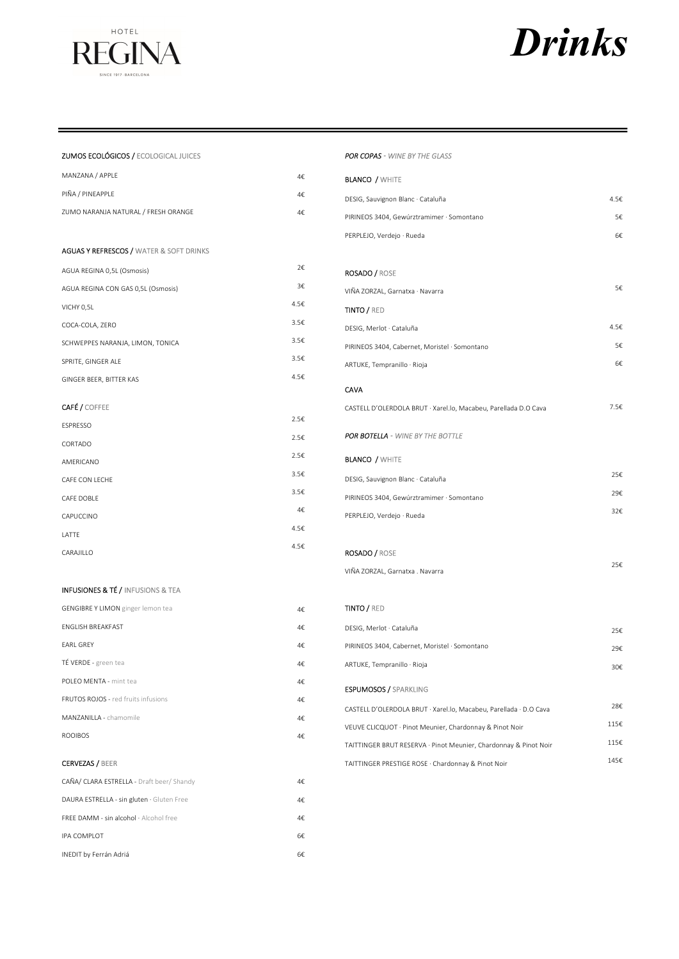

# **Drinks**

## ZUMOS ECOLÓGICOS / ECOLOGICAL JUICES

×,

| MANZANA / APPLE                                    | 4€   |
|----------------------------------------------------|------|
| PIÑA / PINEAPPLE                                   | 4€   |
| ZUMO NARANJA NATURAL / FRESH ORANGE                | 4€   |
|                                                    |      |
| <b>AGUAS Y REFRESCOS / WATER &amp; SOFT DRINKS</b> |      |
| AGUA REGINA 0,5L (Osmosis)                         | 2€   |
| AGUA REGINA CON GAS 0,5L (Osmosis)                 | 3€   |
| VICHY 0,5L                                         | 4.5€ |
| COCA-COLA, ZERO                                    | 3.5€ |
| SCHWEPPES NARANJA, LIMON, TONICA                   | 3.5€ |
| SPRITE, GINGER ALE                                 | 3.5€ |
| GINGER BEER, BITTER KAS                            | 4.5€ |
|                                                    |      |
| <b>CAFÉ / COFFEE</b>                               | 2.5€ |
| ESPRESSO                                           |      |
| CORTADO                                            | 2.5€ |
| AMERICANO                                          | 2.5€ |
| CAFE CON LECHE                                     | 3.5€ |
| CAFE DOBLE                                         | 3.5€ |
| CAPUCCINO                                          | 4€   |
| LATTE                                              | 4.5€ |
| CARAJILLO                                          | 4.5€ |
|                                                    |      |

# **INFUSIONES & TÉ / INFUSIONS & TEA**

| <b>GENGIBRE Y LIMON</b> ginger lemon tea   | 4€. |
|--------------------------------------------|-----|
| <b>ENGLISH BREAKFAST</b>                   | 4€. |
| <b>FARI GRFY</b>                           | 4€. |
| TÉ VERDE - green tea                       | 4€. |
| POLEO MENTA - mint tea                     | 4€. |
| <b>FRUTOS ROJOS - red fruits infusions</b> | 4€. |
| MANZANILLA - chamomile                     | 4€. |
| <b>ROOIBOS</b>                             | 4€. |

### **CERVEZAS / BEER**

| CAÑA/ CLARA ESTRELLA - Draft beer/ Shandy     | 4€  |
|-----------------------------------------------|-----|
| DAURA ESTRELLA - sin gluten · Gluten Free     | 4€. |
| <b>FREE DAMM - sin alcohol · Alcohol free</b> | 4€  |
| IPA COMPLOT                                   | 6f  |
| INEDIT by Ferrán Adriá                        | 6€  |

#### POR COPAS - WINE BY THE GLASS

| <b>BLANCO / WHITE</b>                                             |      |
|-------------------------------------------------------------------|------|
| DESIG, Sauvignon Blanc · Cataluña                                 | 4.5€ |
| PIRINEOS 3404, Gewúrztramimer · Somontano                         | 5€   |
| PERPLEJO, Verdejo · Rueda                                         | 6€   |
|                                                                   |      |
| <b>ROSADO / ROSE</b>                                              |      |
| VIÑA ZORZAL, Garnatxa · Navarra                                   | 5€   |
| <b>TINTO / RED</b>                                                |      |
| DESIG, Merlot · Cataluña                                          | 4.5€ |
| PIRINEOS 3404, Cabernet, Moristel · Somontano                     | 5€   |
| ARTUKE, Tempranillo · Rioja                                       | 6€   |
| CAVA                                                              |      |
| CASTELL D'OLERDOLA BRUT · Xarel.lo, Macabeu, Parellada D.O Cava   | 7.5€ |
|                                                                   |      |
| POR BOTELLA - WINE BY THE BOTTLE                                  |      |
| <b>BLANCO / WHITE</b>                                             |      |
| DESIG, Sauvignon Blanc · Cataluña                                 | 25€  |
| PIRINEOS 3404, Gewúrztramimer · Somontano                         | 29€  |
| PERPLEJO, Verdejo · Rueda                                         | 32€  |
|                                                                   |      |
| ROSADO / ROSE                                                     |      |
| VIÑA ZORZAL, Garnatxa . Navarra                                   | 25€  |
|                                                                   |      |
| <b>TINTO / RED</b>                                                |      |
| DESIG, Merlot · Cataluña                                          | 25€  |
| PIRINEOS 3404, Cabernet, Moristel · Somontano                     | 29€  |
| ARTUKE, Tempranillo · Rioja                                       | 30€  |
| <b>ESPUMOSOS / SPARKLING</b>                                      |      |
| CASTELL D'OLERDOLA BRUT · Xarel.lo, Macabeu, Parellada · D.O Cava | 28€  |
| VEUVE CLICQUOT · Pinot Meunier, Chardonnay & Pinot Noir           | 115€ |
| TAITTINGER BRUT RESERVA · Pinot Meunier, Chardonnay & Pinot Noir  | 115€ |
| TAITTINGER PRESTIGE ROSE · Chardonnay & Pinot Noir                | 145€ |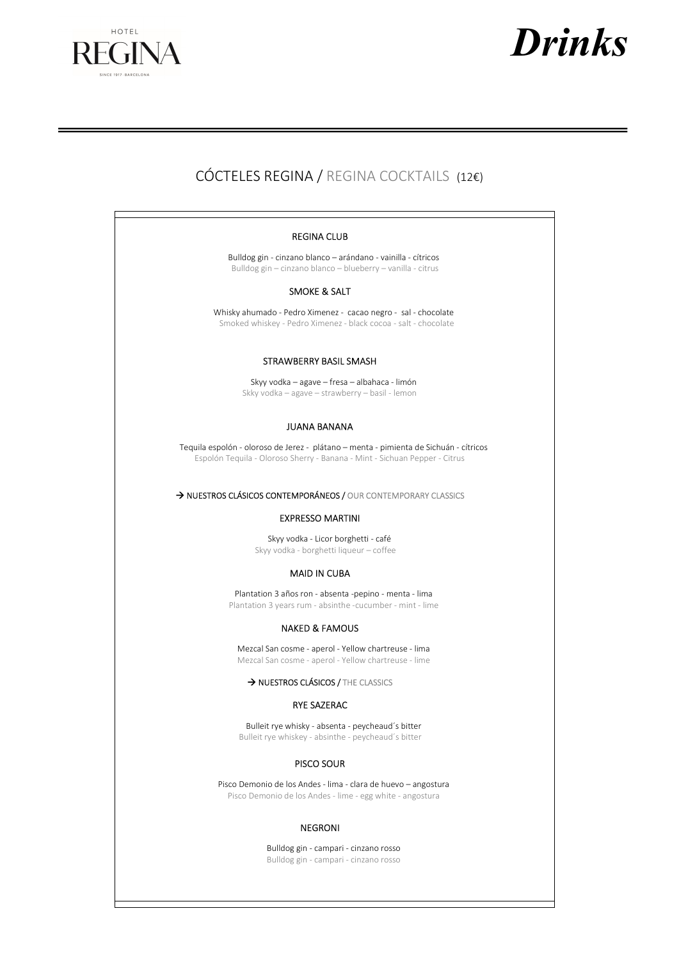



# CÓCTELES REGINA / REGINA COCKTAILS (12€)

#### REGINA CLUB

Bulldog gin - cinzano blanco – arándano - vainilla - cítricos Bulldog gin – cinzano blanco – blueberry – vanilla - citrus

#### SMOKE & SALT

Whisky ahumado - Pedro Ximenez - cacao negro - sal - chocolate Smoked whiskey - Pedro Ximenez - black cocoa - salt - chocolate

#### STRAWBERRY BASIL SMASH

Skyy vodka – agave – fresa – albahaca - limón Skky vodka – agave – strawberry – basil - lemon

## JUANA BANANA

Tequila espolón - oloroso de Jerez - plátano – menta - pimienta de Sichuán - cítricos Espolón Tequila - Oloroso Sherry - Banana - Mint - Sichuan Pepper - Citrus

### $\rightarrow$  NUESTROS CLÁSICOS CONTEMPORÁNEOS / OUR CONTEMPORARY CLASSICS

#### EXPRESSO MARTINI

Skyy vodka - Licor borghetti - café Skyy vodka - borghetti liqueur – coffee

#### MAID IN CUBA

Plantation 3 años ron - absenta -pepino - menta - lima Plantation 3 years rum - absinthe -cucumber - mint - lime

#### NAKED & FAMOUS

Mezcal San cosme - aperol - Yellow chartreuse - lima Mezcal San cosme - aperol - Yellow chartreuse - lime

→ NUESTROS CLÁSICOS / THE CLASSICS

## RYE SAZERAC

Bulleit rye whisky - absenta - peycheaud´s bitter Bulleit rye whiskey - absinthe - peycheaud´s bitter

#### PISCO SOUR

Pisco Demonio de los Andes - lima - clara de huevo – angostura Pisco Demonio de los Andes - lime - egg white - angostura

#### NEGRONI

Bulldog gin - campari - cinzano rosso Bulldog gin - campari - cinzano rosso